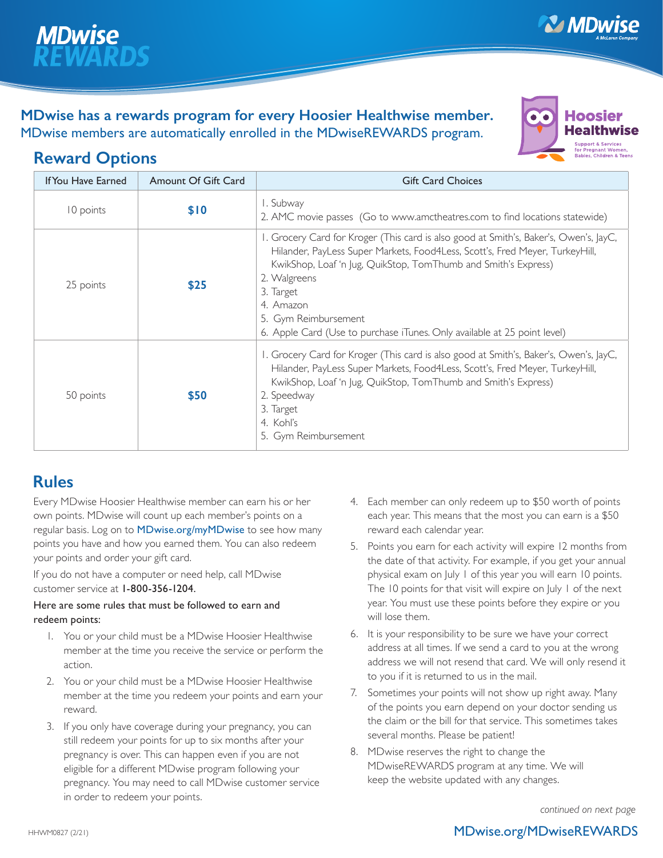

## **MDwise has a rewards program for every Hoosier Healthwise member.**  MDwise members are automatically enrolled in the MDwiseREWARDS program.



**MDwise** 

# **Reward Options**

| <b>If You Have Earned</b> | <b>Amount Of Gift Card</b> | <b>Gift Card Choices</b>                                                                                                                                                                                                                                                                                                                                                              |
|---------------------------|----------------------------|---------------------------------------------------------------------------------------------------------------------------------------------------------------------------------------------------------------------------------------------------------------------------------------------------------------------------------------------------------------------------------------|
| 10 points                 | \$10                       | I. Subway<br>2. AMC movie passes (Go to www.amctheatres.com to find locations statewide)                                                                                                                                                                                                                                                                                              |
| 25 points                 | \$25                       | I. Grocery Card for Kroger (This card is also good at Smith's, Baker's, Owen's, JayC,<br>Hilander, PayLess Super Markets, Food4Less, Scott's, Fred Meyer, TurkeyHill,<br>KwikShop, Loaf 'n Jug, QuikStop, TomThumb and Smith's Express)<br>2. Walgreens<br>3. Target<br>4. Amazon<br>5. Gym Reimbursement<br>6. Apple Card (Use to purchase iTunes. Only available at 25 point level) |
| 50 points                 | \$50                       | I. Grocery Card for Kroger (This card is also good at Smith's, Baker's, Owen's, JayC,<br>Hilander, PayLess Super Markets, Food4Less, Scott's, Fred Meyer, TurkeyHill,<br>KwikShop, Loaf 'n Jug, QuikStop, TomThumb and Smith's Express)<br>2. Speedway<br>3. Target<br>4. Kohl's<br>5. Gym Reimbursement                                                                              |

## **Rules**

Every MDwise Hoosier Healthwise member can earn his or her own points. MDwise will count up each member's points on a regular basis. Log on to MDwise.org/myMDwise to see how many points you have and how you earned them. You can also redeem your points and order your gift card.

If you do not have a computer or need help, call MDwise customer service at 1-800-356-1204.

#### Here are some rules that must be followed to earn and redeem points:

- 1. You or your child must be a MDwise Hoosier Healthwise member at the time you receive the service or perform the action.
- 2. You or your child must be a MDwise Hoosier Healthwise member at the time you redeem your points and earn your reward.
- 3. If you only have coverage during your pregnancy, you can still redeem your points for up to six months after your pregnancy is over. This can happen even if you are not eligible for a different MDwise program following your pregnancy. You may need to call MDwise customer service in order to redeem your points.
- 4. Each member can only redeem up to \$50 worth of points each year. This means that the most you can earn is a \$50 reward each calendar year.
- 5. Points you earn for each activity will expire 12 months from the date of that activity. For example, if you get your annual physical exam on July 1 of this year you will earn 10 points. The 10 points for that visit will expire on July 1 of the next year. You must use these points before they expire or you will lose them.
- 6. It is your responsibility to be sure we have your correct address at all times. If we send a card to you at the wrong address we will not resend that card. We will only resend it to you if it is returned to us in the mail.
- 7. Sometimes your points will not show up right away. Many of the points you earn depend on your doctor sending us the claim or the bill for that service. This sometimes takes several months. Please be patient!
- 8. MDwise reserves the right to change the MDwiseREWARDS program at any time. We will keep the website updated with any changes.

*continued on next page*

## HHWM0827 (2/21) **MDwise.org/MDwiseREWARDS**